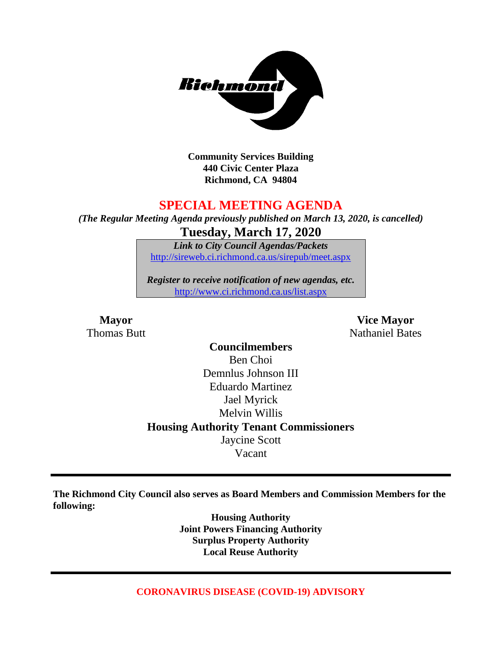

**Community Services Building 440 Civic Center Plaza Richmond, CA 94804**

### **SPECIAL MEETING AGENDA**

*(The Regular Meeting Agenda previously published on March 13, 2020, is cancelled)* **Tuesday, March 17, 2020**

> *Link to City Council Agendas/Packets* <http://sireweb.ci.richmond.ca.us/sirepub/meet.aspx>

*Register to receive notification of new agendas, etc.* <http://www.ci.richmond.ca.us/list.aspx>

**Mayor Vice Mayor Thomas Butt** Nathaniel Bates

> **Councilmembers** Ben Choi Demnlus Johnson III Eduardo Martinez Jael Myrick Melvin Willis **Housing Authority Tenant Commissioners** Jaycine Scott Vacant

**The Richmond City Council also serves as Board Members and Commission Members for the following:**

> **Housing Authority Joint Powers Financing Authority Surplus Property Authority Local Reuse Authority**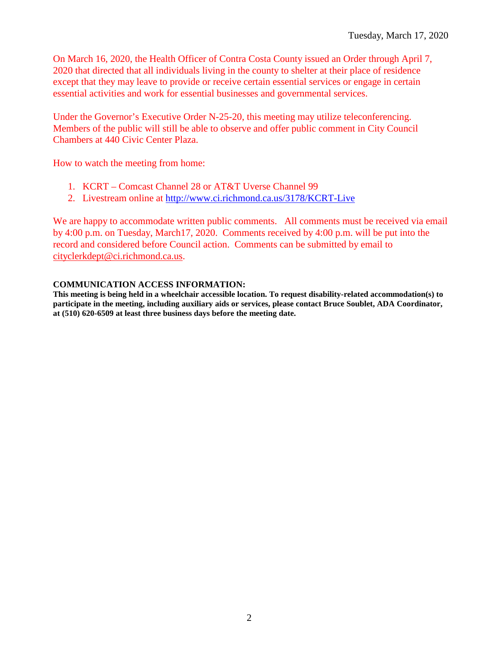On March 16, 2020, the Health Officer of Contra Costa County issued an Order through April 7, 2020 that directed that all individuals living in the county to shelter at their place of residence except that they may leave to provide or receive certain essential services or engage in certain essential activities and work for essential businesses and governmental services.

Under the Governor's Executive Order N-25-20, this meeting may utilize teleconferencing. Members of the public will still be able to observe and offer public comment in City Council Chambers at 440 Civic Center Plaza.

How to watch the meeting from home:

- 1. KCRT Comcast Channel 28 or AT&T Uverse Channel 99
- 2. Livestream online at <http://www.ci.richmond.ca.us/3178/KCRT-Live>

We are happy to accommodate written public comments. All comments must be received via email by 4:00 p.m. on Tuesday, March17, 2020. Comments received by 4:00 p.m. will be put into the record and considered before Council action. Comments can be submitted by email to [cityclerkdept@ci.richmond.ca.us.](mailto:cityclerkdept@ci.richmond.ca.us)

### **COMMUNICATION ACCESS INFORMATION:**

**This meeting is being held in a wheelchair accessible location. To request disability-related accommodation(s) to participate in the meeting, including auxiliary aids or services, please contact Bruce Soublet, ADA Coordinator, at (510) 620-6509 at least three business days before the meeting date.**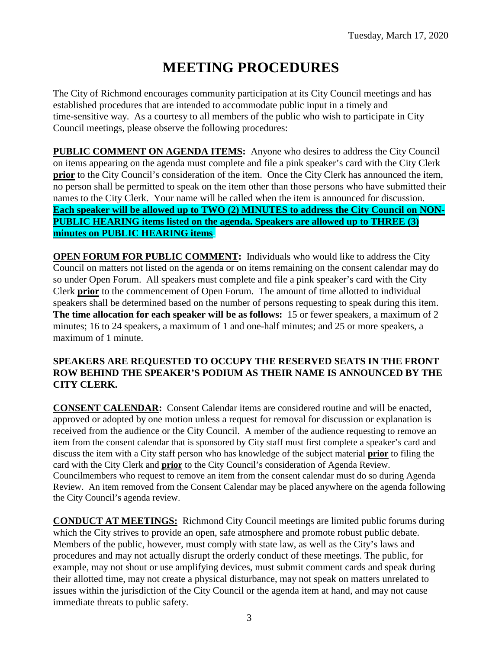# **MEETING PROCEDURES**

The City of Richmond encourages community participation at its City Council meetings and has established procedures that are intended to accommodate public input in a timely and time-sensitive way. As a courtesy to all members of the public who wish to participate in City Council meetings, please observe the following procedures:

**PUBLIC COMMENT ON AGENDA ITEMS:** Anyone who desires to address the City Council on items appearing on the agenda must complete and file a pink speaker's card with the City Clerk **prior** to the City Council's consideration of the item. Once the City Clerk has announced the item, no person shall be permitted to speak on the item other than those persons who have submitted their names to the City Clerk. Your name will be called when the item is announced for discussion. **Each speaker will be allowed up to TWO (2) MINUTES to address the City Council on NON-PUBLIC HEARING items listed on the agenda. Speakers are allowed up to THREE (3) minutes on PUBLIC HEARING items.**

**OPEN FORUM FOR PUBLIC COMMENT:** Individuals who would like to address the City Council on matters not listed on the agenda or on items remaining on the consent calendar may do so under Open Forum. All speakers must complete and file a pink speaker's card with the City Clerk **prior** to the commencement of Open Forum. The amount of time allotted to individual speakers shall be determined based on the number of persons requesting to speak during this item. **The time allocation for each speaker will be as follows:** 15 or fewer speakers, a maximum of 2 minutes; 16 to 24 speakers, a maximum of 1 and one-half minutes; and 25 or more speakers, a maximum of 1 minute.

### **SPEAKERS ARE REQUESTED TO OCCUPY THE RESERVED SEATS IN THE FRONT ROW BEHIND THE SPEAKER'S PODIUM AS THEIR NAME IS ANNOUNCED BY THE CITY CLERK.**

**CONSENT CALENDAR:** Consent Calendar items are considered routine and will be enacted, approved or adopted by one motion unless a request for removal for discussion or explanation is received from the audience or the City Council. A member of the audience requesting to remove an item from the consent calendar that is sponsored by City staff must first complete a speaker's card and discuss the item with a City staff person who has knowledge of the subject material **prior** to filing the card with the City Clerk and **prior** to the City Council's consideration of Agenda Review. Councilmembers who request to remove an item from the consent calendar must do so during Agenda Review. An item removed from the Consent Calendar may be placed anywhere on the agenda following the City Council's agenda review.

**CONDUCT AT MEETINGS:** Richmond City Council meetings are limited public forums during which the City strives to provide an open, safe atmosphere and promote robust public debate. Members of the public, however, must comply with state law, as well as the City's laws and procedures and may not actually disrupt the orderly conduct of these meetings. The public, for example, may not shout or use amplifying devices, must submit comment cards and speak during their allotted time, may not create a physical disturbance, may not speak on matters unrelated to issues within the jurisdiction of the City Council or the agenda item at hand, and may not cause immediate threats to public safety.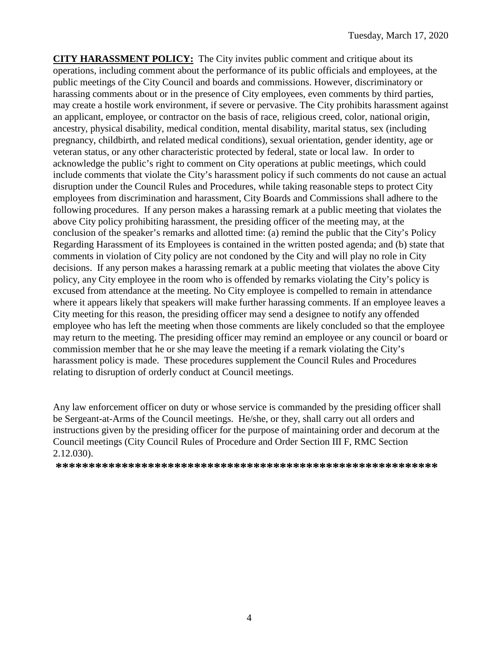**CITY HARASSMENT POLICY:** The City invites public comment and critique about its operations, including comment about the performance of its public officials and employees, at the public meetings of the City Council and boards and commissions. However, discriminatory or harassing comments about or in the presence of City employees, even comments by third parties, may create a hostile work environment, if severe or pervasive. The City prohibits harassment against an applicant, employee, or contractor on the basis of race, religious creed, color, national origin, ancestry, physical disability, medical condition, mental disability, marital status, sex (including pregnancy, childbirth, and related medical conditions), sexual orientation, gender identity, age or veteran status, or any other characteristic protected by federal, state or local law. In order to acknowledge the public's right to comment on City operations at public meetings, which could include comments that violate the City's harassment policy if such comments do not cause an actual disruption under the Council Rules and Procedures, while taking reasonable steps to protect City employees from discrimination and harassment, City Boards and Commissions shall adhere to the following procedures. If any person makes a harassing remark at a public meeting that violates the above City policy prohibiting harassment, the presiding officer of the meeting may, at the conclusion of the speaker's remarks and allotted time: (a) remind the public that the City's Policy Regarding Harassment of its Employees is contained in the written posted agenda; and (b) state that comments in violation of City policy are not condoned by the City and will play no role in City decisions. If any person makes a harassing remark at a public meeting that violates the above City policy, any City employee in the room who is offended by remarks violating the City's policy is excused from attendance at the meeting. No City employee is compelled to remain in attendance where it appears likely that speakers will make further harassing comments. If an employee leaves a City meeting for this reason, the presiding officer may send a designee to notify any offended employee who has left the meeting when those comments are likely concluded so that the employee may return to the meeting. The presiding officer may remind an employee or any council or board or commission member that he or she may leave the meeting if a remark violating the City's harassment policy is made. These procedures supplement the Council Rules and Procedures relating to disruption of orderly conduct at Council meetings.

Any law enforcement officer on duty or whose service is commanded by the presiding officer shall be Sergeant-at-Arms of the Council meetings. He/she, or they, shall carry out all orders and instructions given by the presiding officer for the purpose of maintaining order and decorum at the Council meetings (City Council Rules of Procedure and Order Section III F, RMC Section 2.12.030).

**\*\*\*\*\*\*\*\*\*\*\*\*\*\*\*\*\*\*\*\*\*\*\*\*\*\*\*\*\*\*\*\*\*\*\*\*\*\*\*\*\*\*\*\*\*\*\*\*\*\*\*\*\*\*\*\*\*\***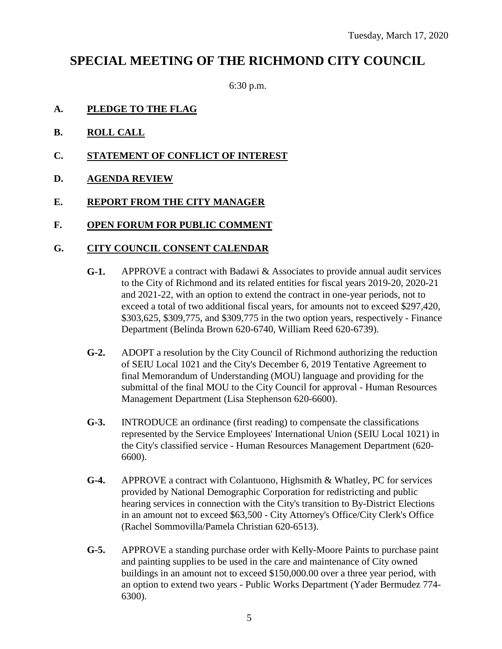## **SPECIAL MEETING OF THE RICHMOND CITY COUNCIL**

6:30 p.m.

- **A. PLEDGE TO THE FLAG**
- **B. ROLL CALL**
- **C. STATEMENT OF CONFLICT OF INTEREST**
- **D. AGENDA REVIEW**
- **E. REPORT FROM THE CITY MANAGER**
- **F. OPEN FORUM FOR PUBLIC COMMENT**

### **G. CITY COUNCIL CONSENT CALENDAR**

- **G-1.** APPROVE a contract with Badawi & Associates to provide annual audit services to the City of Richmond and its related entities for fiscal years 2019-20, 2020-21 and 2021-22, with an option to extend the contract in one-year periods, not to exceed a total of two additional fiscal years, for amounts not to exceed \$297,420, \$303,625, \$309,775, and \$309,775 in the two option years, respectively - Finance Department (Belinda Brown 620-6740, William Reed 620-6739).
- **G-2.** ADOPT a resolution by the City Council of Richmond authorizing the reduction of SEIU Local 1021 and the City's December 6, 2019 Tentative Agreement to final Memorandum of Understanding (MOU) language and providing for the submittal of the final MOU to the City Council for approval - Human Resources Management Department (Lisa Stephenson 620-6600).
- **G-3.** INTRODUCE an ordinance (first reading) to compensate the classifications represented by the Service Employees' International Union (SEIU Local 1021) in the City's classified service - Human Resources Management Department (620- 6600).
- **G-4.** APPROVE a contract with Colantuono, Highsmith & Whatley, PC for services provided by National Demographic Corporation for redistricting and public hearing services in connection with the City's transition to By-District Elections in an amount not to exceed \$63,500 - City Attorney's Office/City Clerk's Office (Rachel Sommovilla/Pamela Christian 620-6513).
- **G-5.** APPROVE a standing purchase order with Kelly-Moore Paints to purchase paint and painting supplies to be used in the care and maintenance of City owned buildings in an amount not to exceed \$150,000.00 over a three year period, with an option to extend two years - Public Works Department (Yader Bermudez 774- 6300).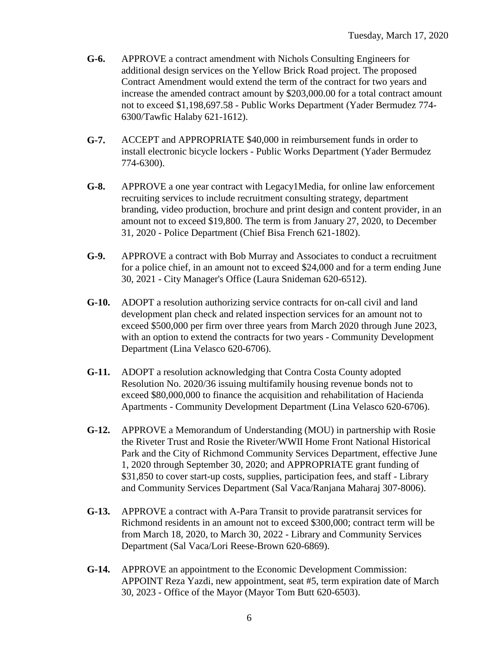- **G-6.** APPROVE a contract amendment with Nichols Consulting Engineers for additional design services on the Yellow Brick Road project. The proposed Contract Amendment would extend the term of the contract for two years and increase the amended contract amount by \$203,000.00 for a total contract amount not to exceed \$1,198,697.58 - Public Works Department (Yader Bermudez 774- 6300/Tawfic Halaby 621-1612).
- **G-7.** ACCEPT and APPROPRIATE \$40,000 in reimbursement funds in order to install electronic bicycle lockers - Public Works Department (Yader Bermudez 774-6300).
- **G-8.** APPROVE a one year contract with Legacy1Media, for online law enforcement recruiting services to include recruitment consulting strategy, department branding, video production, brochure and print design and content provider, in an amount not to exceed \$19,800. The term is from January 27, 2020, to December 31, 2020 - Police Department (Chief Bisa French 621-1802).
- **G-9.** APPROVE a contract with Bob Murray and Associates to conduct a recruitment for a police chief, in an amount not to exceed \$24,000 and for a term ending June 30, 2021 - City Manager's Office (Laura Snideman 620-6512).
- **G-10.** ADOPT a resolution authorizing service contracts for on-call civil and land development plan check and related inspection services for an amount not to exceed \$500,000 per firm over three years from March 2020 through June 2023, with an option to extend the contracts for two years - Community Development Department (Lina Velasco 620-6706).
- **G-11.** ADOPT a resolution acknowledging that Contra Costa County adopted Resolution No. 2020/36 issuing multifamily housing revenue bonds not to exceed \$80,000,000 to finance the acquisition and rehabilitation of Hacienda Apartments - Community Development Department (Lina Velasco 620-6706).
- **G-12.** APPROVE a Memorandum of Understanding (MOU) in partnership with Rosie the Riveter Trust and Rosie the Riveter/WWII Home Front National Historical Park and the City of Richmond Community Services Department, effective June 1, 2020 through September 30, 2020; and APPROPRIATE grant funding of \$31,850 to cover start-up costs, supplies, participation fees, and staff - Library and Community Services Department (Sal Vaca/Ranjana Maharaj 307-8006).
- **G-13.** APPROVE a contract with A-Para Transit to provide paratransit services for Richmond residents in an amount not to exceed \$300,000; contract term will be from March 18, 2020, to March 30, 2022 - Library and Community Services Department (Sal Vaca/Lori Reese-Brown 620-6869).
- **G-14.** APPROVE an appointment to the Economic Development Commission: APPOINT Reza Yazdi, new appointment, seat #5, term expiration date of March 30, 2023 - Office of the Mayor (Mayor Tom Butt 620-6503).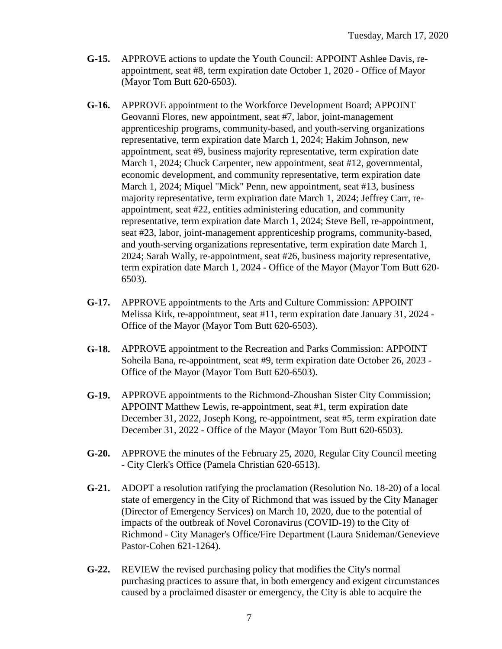- **G-15.** APPROVE actions to update the Youth Council: APPOINT Ashlee Davis, reappointment, seat #8, term expiration date October 1, 2020 - Office of Mayor (Mayor Tom Butt 620-6503).
- **G-16.** APPROVE appointment to the Workforce Development Board; APPOINT Geovanni Flores, new appointment, seat #7, labor, joint-management apprenticeship programs, community-based, and youth-serving organizations representative, term expiration date March 1, 2024; Hakim Johnson, new appointment, seat #9, business majority representative, term expiration date March 1, 2024; Chuck Carpenter, new appointment, seat #12, governmental, economic development, and community representative, term expiration date March 1, 2024; Miquel "Mick" Penn, new appointment, seat #13, business majority representative, term expiration date March 1, 2024; Jeffrey Carr, reappointment, seat #22, entities administering education, and community representative, term expiration date March 1, 2024; Steve Bell, re-appointment, seat #23, labor, joint-management apprenticeship programs, community-based, and youth-serving organizations representative, term expiration date March 1, 2024; Sarah Wally, re-appointment, seat #26, business majority representative, term expiration date March 1, 2024 - Office of the Mayor (Mayor Tom Butt 620- 6503).
- **G-17.** APPROVE appointments to the Arts and Culture Commission: APPOINT Melissa Kirk, re-appointment, seat #11, term expiration date January 31, 2024 - Office of the Mayor (Mayor Tom Butt 620-6503).
- **G-18.** APPROVE appointment to the Recreation and Parks Commission: APPOINT Soheila Bana, re-appointment, seat #9, term expiration date October 26, 2023 - Office of the Mayor (Mayor Tom Butt 620-6503).
- **G-19.** APPROVE appointments to the Richmond-Zhoushan Sister City Commission; APPOINT Matthew Lewis, re-appointment, seat #1, term expiration date December 31, 2022, Joseph Kong, re-appointment, seat #5, term expiration date December 31, 2022 - Office of the Mayor (Mayor Tom Butt 620-6503).
- **G-20.** APPROVE the minutes of the February 25, 2020, Regular City Council meeting - City Clerk's Office (Pamela Christian 620-6513).
- **G-21.** ADOPT a resolution ratifying the proclamation (Resolution No. 18-20) of a local state of emergency in the City of Richmond that was issued by the City Manager (Director of Emergency Services) on March 10, 2020, due to the potential of impacts of the outbreak of Novel Coronavirus (COVID-19) to the City of Richmond - City Manager's Office/Fire Department (Laura Snideman/Genevieve Pastor-Cohen 621-1264).
- **G-22.** REVIEW the revised purchasing policy that modifies the City's normal purchasing practices to assure that, in both emergency and exigent circumstances caused by a proclaimed disaster or emergency, the City is able to acquire the